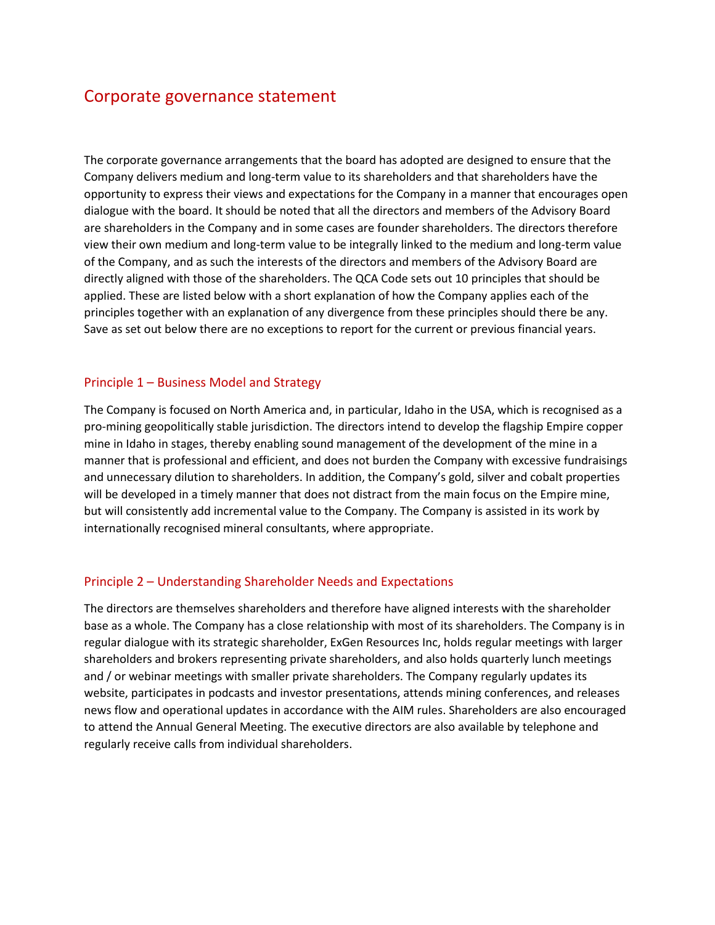# Corporate governance statement

The corporate governance arrangements that the board has adopted are designed to ensure that the Company delivers medium and long-term value to its shareholders and that shareholders have the opportunity to express their views and expectations for the Company in a manner that encourages open dialogue with the board. It should be noted that all the directors and members of the Advisory Board are shareholders in the Company and in some cases are founder shareholders. The directors therefore view their own medium and long-term value to be integrally linked to the medium and long-term value of the Company, and as such the interests of the directors and members of the Advisory Board are directly aligned with those of the shareholders. The QCA Code sets out 10 principles that should be applied. These are listed below with a short explanation of how the Company applies each of the principles together with an explanation of any divergence from these principles should there be any. Save as set out below there are no exceptions to report for the current or previous financial years.

#### Principle 1 – Business Model and Strategy

The Company is focused on North America and, in particular, Idaho in the USA, which is recognised as a pro-mining geopolitically stable jurisdiction. The directors intend to develop the flagship Empire copper mine in Idaho in stages, thereby enabling sound management of the development of the mine in a manner that is professional and efficient, and does not burden the Company with excessive fundraisings and unnecessary dilution to shareholders. In addition, the Company's gold, silver and cobalt properties will be developed in a timely manner that does not distract from the main focus on the Empire mine, but will consistently add incremental value to the Company. The Company is assisted in its work by internationally recognised mineral consultants, where appropriate.

# Principle 2 – Understanding Shareholder Needs and Expectations

The directors are themselves shareholders and therefore have aligned interests with the shareholder base as a whole. The Company has a close relationship with most of its shareholders. The Company is in regular dialogue with its strategic shareholder, ExGen Resources Inc, holds regular meetings with larger shareholders and brokers representing private shareholders, and also holds quarterly lunch meetings and / or webinar meetings with smaller private shareholders. The Company regularly updates its website, participates in podcasts and investor presentations, attends mining conferences, and releases news flow and operational updates in accordance with the AIM rules. Shareholders are also encouraged to attend the Annual General Meeting. The executive directors are also available by telephone and regularly receive calls from individual shareholders.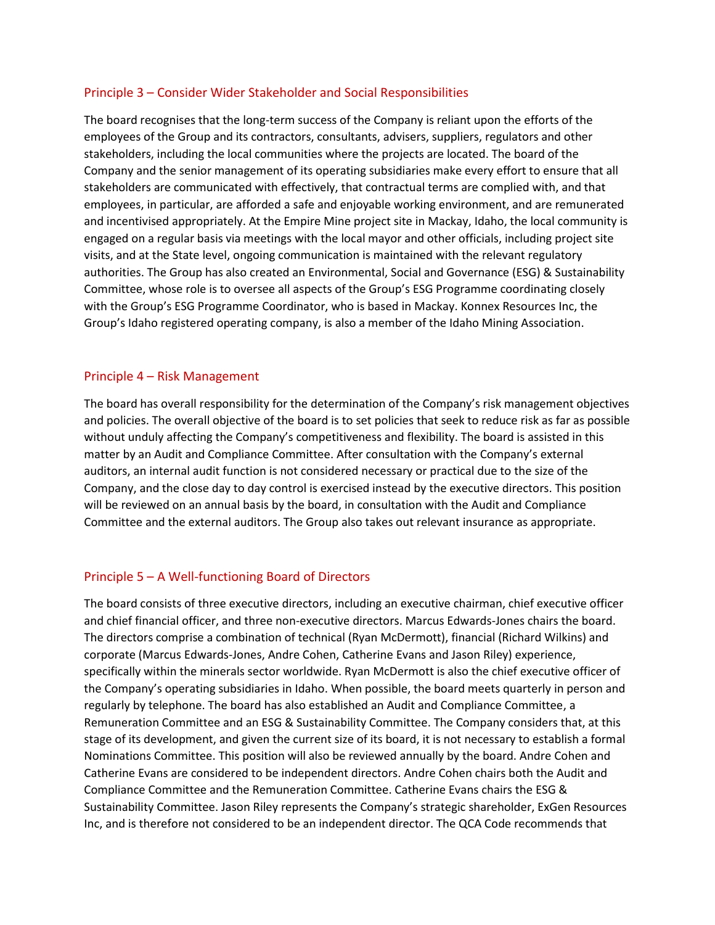# Principle 3 – Consider Wider Stakeholder and Social Responsibilities

The board recognises that the long-term success of the Company is reliant upon the efforts of the employees of the Group and its contractors, consultants, advisers, suppliers, regulators and other stakeholders, including the local communities where the projects are located. The board of the Company and the senior management of its operating subsidiaries make every effort to ensure that all stakeholders are communicated with effectively, that contractual terms are complied with, and that employees, in particular, are afforded a safe and enjoyable working environment, and are remunerated and incentivised appropriately. At the Empire Mine project site in Mackay, Idaho, the local community is engaged on a regular basis via meetings with the local mayor and other officials, including project site visits, and at the State level, ongoing communication is maintained with the relevant regulatory authorities. The Group has also created an Environmental, Social and Governance (ESG) & Sustainability Committee, whose role is to oversee all aspects of the Group's ESG Programme coordinating closely with the Group's ESG Programme Coordinator, who is based in Mackay. Konnex Resources Inc, the Group's Idaho registered operating company, is also a member of the Idaho Mining Association.

#### Principle 4 – Risk Management

The board has overall responsibility for the determination of the Company's risk management objectives and policies. The overall objective of the board is to set policies that seek to reduce risk as far as possible without unduly affecting the Company's competitiveness and flexibility. The board is assisted in this matter by an Audit and Compliance Committee. After consultation with the Company's external auditors, an internal audit function is not considered necessary or practical due to the size of the Company, and the close day to day control is exercised instead by the executive directors. This position will be reviewed on an annual basis by the board, in consultation with the Audit and Compliance Committee and the external auditors. The Group also takes out relevant insurance as appropriate.

#### Principle 5 – A Well-functioning Board of Directors

The board consists of three executive directors, including an executive chairman, chief executive officer and chief financial officer, and three non-executive directors. Marcus Edwards-Jones chairs the board. The directors comprise a combination of technical (Ryan McDermott), financial (Richard Wilkins) and corporate (Marcus Edwards-Jones, Andre Cohen, Catherine Evans and Jason Riley) experience, specifically within the minerals sector worldwide. Ryan McDermott is also the chief executive officer of the Company's operating subsidiaries in Idaho. When possible, the board meets quarterly in person and regularly by telephone. The board has also established an Audit and Compliance Committee, a Remuneration Committee and an ESG & Sustainability Committee. The Company considers that, at this stage of its development, and given the current size of its board, it is not necessary to establish a formal Nominations Committee. This position will also be reviewed annually by the board. Andre Cohen and Catherine Evans are considered to be independent directors. Andre Cohen chairs both the Audit and Compliance Committee and the Remuneration Committee. Catherine Evans chairs the ESG & Sustainability Committee. Jason Riley represents the Company's strategic shareholder, ExGen Resources Inc, and is therefore not considered to be an independent director. The QCA Code recommends that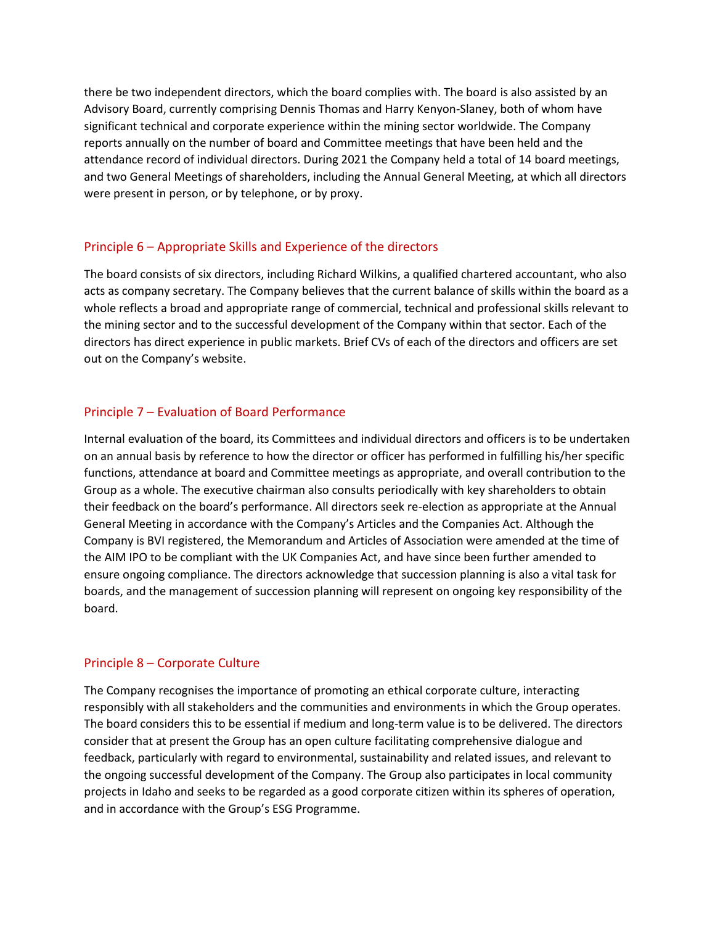there be two independent directors, which the board complies with. The board is also assisted by an Advisory Board, currently comprising Dennis Thomas and Harry Kenyon-Slaney, both of whom have significant technical and corporate experience within the mining sector worldwide. The Company reports annually on the number of board and Committee meetings that have been held and the attendance record of individual directors. During 2021 the Company held a total of 14 board meetings, and two General Meetings of shareholders, including the Annual General Meeting, at which all directors were present in person, or by telephone, or by proxy.

# Principle 6 – Appropriate Skills and Experience of the directors

The board consists of six directors, including Richard Wilkins, a qualified chartered accountant, who also acts as company secretary. The Company believes that the current balance of skills within the board as a whole reflects a broad and appropriate range of commercial, technical and professional skills relevant to the mining sector and to the successful development of the Company within that sector. Each of the directors has direct experience in public markets. Brief CVs of each of the directors and officers are set out on the Company's website.

# Principle 7 – Evaluation of Board Performance

Internal evaluation of the board, its Committees and individual directors and officers is to be undertaken on an annual basis by reference to how the director or officer has performed in fulfilling his/her specific functions, attendance at board and Committee meetings as appropriate, and overall contribution to the Group as a whole. The executive chairman also consults periodically with key shareholders to obtain their feedback on the board's performance. All directors seek re-election as appropriate at the Annual General Meeting in accordance with the Company's Articles and the Companies Act. Although the Company is BVI registered, the Memorandum and Articles of Association were amended at the time of the AIM IPO to be compliant with the UK Companies Act, and have since been further amended to ensure ongoing compliance. The directors acknowledge that succession planning is also a vital task for boards, and the management of succession planning will represent on ongoing key responsibility of the board.

#### Principle 8 – Corporate Culture

The Company recognises the importance of promoting an ethical corporate culture, interacting responsibly with all stakeholders and the communities and environments in which the Group operates. The board considers this to be essential if medium and long-term value is to be delivered. The directors consider that at present the Group has an open culture facilitating comprehensive dialogue and feedback, particularly with regard to environmental, sustainability and related issues, and relevant to the ongoing successful development of the Company. The Group also participates in local community projects in Idaho and seeks to be regarded as a good corporate citizen within its spheres of operation, and in accordance with the Group's ESG Programme.